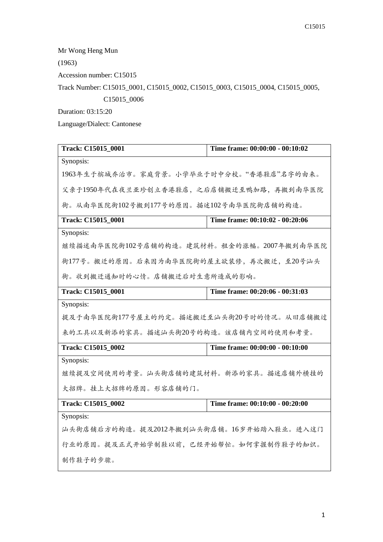Mr Wong Heng Mun

(1963)

Accession number: C15015

Track Number: C15015\_0001, C15015\_0002, C15015\_0003, C15015\_0004, C15015\_0005,

C15015\_0006

Duration: 03:15:20

Language/Dialect: Cantonese

| Track: C15015_0001                        | Time frame: 00:00:00 - 00:10:02 |  |
|-------------------------------------------|---------------------------------|--|
| Synopsis:                                 |                                 |  |
| 1963年生于槟城乔治市。家庭背景。小学毕业于时中分校。"香港鞋店"名字的由来。  |                                 |  |
| 父亲于1950年代在夜兰亚珍创立香港鞋店,之后店铺搬迁至鸭加路,再搬到南华医院   |                                 |  |
| 街。从南华医院街102号搬到177号的原因。描述102号南华医院街店铺的构造。   |                                 |  |
| Track: C15015 0001                        | Time frame: 00:10:02 - 00:20:06 |  |
| Synopsis:                                 |                                 |  |
| 继续描述南华医院街102号店铺的构造。建筑材料。租金的涨幅。2007年搬到南华医院 |                                 |  |
| 街177号。搬迁的原因。后来因为南华医院街的屋主欲装修,再次搬迁,至20号汕头   |                                 |  |
| 街。收到搬迁通知时的心情。店铺搬迁后对生意所造成的影响。              |                                 |  |
| Track: C15015_0001                        | Time frame: 00:20:06 - 00:31:03 |  |
| Synopsis:                                 |                                 |  |
| 提及于南华医院街177号屋主的约定。描述搬迁至汕头街20号时的情况。从旧店铺搬过  |                                 |  |
| 来的工具以及新添的家具。描述汕头街20号的构造。该店铺内空间的使用和考量。     |                                 |  |
| Track: C15015 0002                        | Time frame: 00:00:00 - 00:10:00 |  |
| Synopsis:                                 |                                 |  |
| 继续提及空间使用的考量。汕头街店铺的建筑材料。新添的家具。描述店铺外横挂的     |                                 |  |
| 大招牌。挂上大招牌的原因。形容店铺的门。                      |                                 |  |
| Track: C15015_0002                        | Time frame: 00:10:00 - 00:20:00 |  |
| Synopsis:                                 |                                 |  |
| 汕头街店铺后方的构造。提及2012年搬到汕头街店铺。16岁开始踏入鞋业。进入这门  |                                 |  |
| 行业的原因。提及正式开始学制鞋以前,已经开始帮忙。如何掌握制作鞋子的知识。     |                                 |  |
| 制作鞋子的步骤。                                  |                                 |  |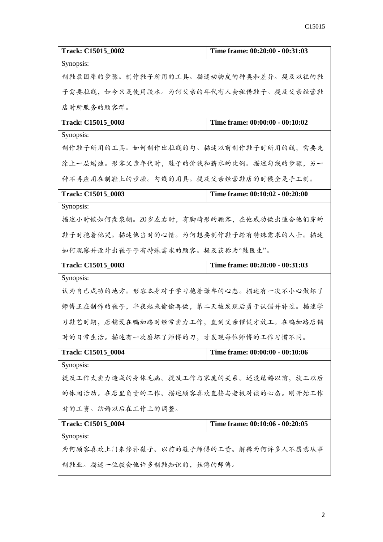| Track: C15015_0002                                    | Time frame: 00:20:00 - 00:31:03 |  |
|-------------------------------------------------------|---------------------------------|--|
| Synopsis:                                             |                                 |  |
| 制鞋最困难的步骤。制作鞋子所用的工具。描述动物皮的种类和差异。提及以往的鞋                 |                                 |  |
| 子需要拉线,如今只是使用胶水。为何父亲的年代有人会租借鞋子。提及父亲经营鞋                 |                                 |  |
| 店时所服务的顾客群。                                            |                                 |  |
| Track: C15015_0003                                    | Time frame: 00:00:00 - 00:10:02 |  |
| Synopsis:                                             |                                 |  |
| 制作鞋子所用的工具。如何制作出拉线的勾。描述以前制作鞋子时所用的线,需要先                 |                                 |  |
| 涂上一层蜡烛。形容父亲年代时,鞋子的价钱和薪水的比例。描述勾线的步骤,另一                 |                                 |  |
| 种不再应用在制鞋上的步骤。勾线的用具。提及父亲经营鞋店的时候全是手工制。                  |                                 |  |
| Track: C15015_0003                                    | Time frame: 00:10:02 - 00:20:00 |  |
| Synopsis:                                             |                                 |  |
| 描述小时候如何煮浆糊。20岁左右时, 有脚畸形的顾客, 在他成功做出适合他们穿的              |                                 |  |
| 鞋子时抱着他哭。描述他当时的心情。为何想要制作鞋子给有特殊需求的人士。描述                 |                                 |  |
| 如何观察并设计出鞋子予有特殊需求的顾客。提及获称为"鞋医生"。                       |                                 |  |
| Track: C15015_0003<br>Time frame: 00:20:00 - 00:31:03 |                                 |  |
| Synopsis:                                             |                                 |  |
| 认为自己成功的地方。形容本身对于学习抱着谦卑的心态。描述有一次不小心做坏了                 |                                 |  |
| 师傅正在制作的鞋子,半夜起来偷偷再做,第二天被发现后勇于认错并补过。描述学                 |                                 |  |
| 习鞋艺时期,店铺设在鸭加路时经常卖力工作,直到父亲催促才放工。在鸭加路店铺                 |                                 |  |
| 时的日常生活。描述有一次磨坏了师傅的刀,才发现每位师傅的工作习惯不同。                   |                                 |  |
| Track: C15015_0004                                    | Time frame: 00:00:00 - 00:10:06 |  |
| Synopsis:                                             |                                 |  |
| 提及工作太卖力造成的身体毛病。提及工作与家庭的关系。还没结婚以前,放工以后                 |                                 |  |
| 的休闲活动。在店里负责的工作。描述顾客喜欢直接与老板对谈的心态。刚开始工作                 |                                 |  |
| 时的工资。结婚以后在工作上的调整。                                     |                                 |  |
| Track: C15015_0004                                    | Time frame: 00:10:06 - 00:20:05 |  |
| Synopsis:                                             |                                 |  |
| 为何顾客喜欢上门来修补鞋子。以前的鞋子师傅的工资。解释为何许多人不愿意从事                 |                                 |  |
| 制鞋业。描述一位教会他许多制鞋知识的, 姓傅的师傅。                            |                                 |  |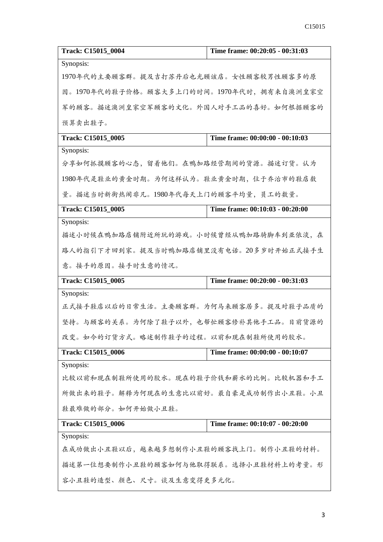| Track: C15015 0004                         | Time frame: 00:20:05 - 00:31:03 |  |
|--------------------------------------------|---------------------------------|--|
| Synopsis:                                  |                                 |  |
| 1970年代的主要顾客群。提及吉打苏丹后也光顾该店。女性顾客较男性顾客多的原     |                                 |  |
| 因。1970年代的鞋子价格。顾客大多上门的时间。1970年代时, 拥有来自澳洲皇家空 |                                 |  |
| 军的顾客。描述澳洲皇家空军顾客的文化。外国人对手工品的喜好。如何根据顾客的      |                                 |  |
| 预算卖出鞋子。                                    |                                 |  |
| Track: C15015 0005                         | Time frame: 00:00:00 - 00:10:03 |  |
| Synopsis:                                  |                                 |  |
| 分享如何抓摸顾客的心态,留着他们。在鸭加路经营期间的货源。描述订货。认为       |                                 |  |
| 1980年代是鞋业的黄金时期。为何这样认为。鞋业黄金时期, 位于乔治市的鞋店数    |                                 |  |
| 量。描述当时新街热闹非凡。1980年代每天上门的顾客平均量,员工的数量。       |                                 |  |
| Track: C15015_0005                         | Time frame: 00:10:03 - 00:20:00 |  |
| Synopsis:                                  |                                 |  |
| 描述小时候在鸭加路店铺附近所玩的游戏。小时候曾经从鸭加路骑脚车到亚依淡,在      |                                 |  |
| 路人的指引下才回到家。提及当时鸭加路店铺里没有电话。20多岁时开始正式接手生     |                                 |  |
| 意。接手的原因。接手时生意的情况。                          |                                 |  |
| Track: C15015_0005                         | Time frame: 00:20:00 - 00:31:03 |  |
|                                            |                                 |  |
| Synopsis:                                  |                                 |  |
| 正式接手鞋店以后的日常生活。主要顾客群。为何马来顾客居多。提及对鞋子品质的      |                                 |  |
| 坚持。与顾客的关系。为何除了鞋子以外,也帮忙顾客修补其他手工品。目前货源的      |                                 |  |
| 改变。如今的订货方式。略述制作鞋子的过程。以前和现在制鞋所使用的胶水。        |                                 |  |
| Track: C15015_0006                         | Time frame: 00:00:00 - 00:10:07 |  |
| Synopsis:                                  |                                 |  |
| 比较以前和现在制鞋所使用的胶水。现在的鞋子价钱和薪水的比例。比较机器和手工      |                                 |  |
| 所做出来的鞋子。解释为何现在的生意比以前好。最自豪是成功制作出小丑鞋。小丑      |                                 |  |
| 鞋最难做的部分。如何开始做小丑鞋。                          |                                 |  |
| Track: C15015_0006                         | Time frame: 00:10:07 - 00:20:00 |  |
| Synopsis:                                  |                                 |  |
| 在成功做出小丑鞋以后,越来越多想制作小丑鞋的顾客找上门。制作小丑鞋的材料。      |                                 |  |
| 描述第一位想要制作小丑鞋的顾客如何与他取得联系。选择小丑鞋材料上的考量。形      |                                 |  |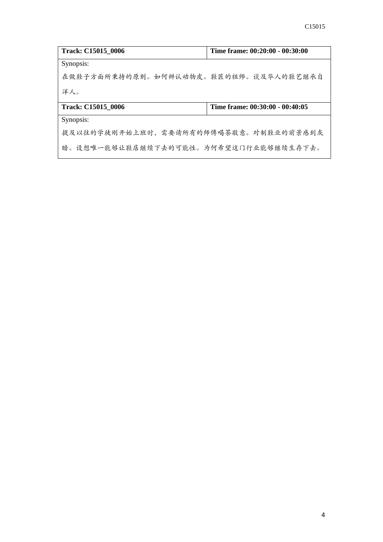| <b>Track: C15015 0006</b>             | Time frame: 00:20:00 - 00:30:00 |
|---------------------------------------|---------------------------------|
| Synopsis:                             |                                 |
| 在做鞋子方面所秉持的原则。如何辨认动物皮。鞋匠的祖师。谈及华人的鞋艺继承自 |                                 |
| 洋人。                                   |                                 |
| <b>Track: C15015 0006</b>             | Time frame: 00:30:00 - 00:40:05 |
| Synopsis:                             |                                 |
| 提及以往的学徒刚开始上班时,需要请所有的师傅喝茶敬意。对制鞋业的前景感到灰 |                                 |
| 暗。设想唯一能够让鞋店继续下去的可能性。为何希望这门行业能够继续生存下去。 |                                 |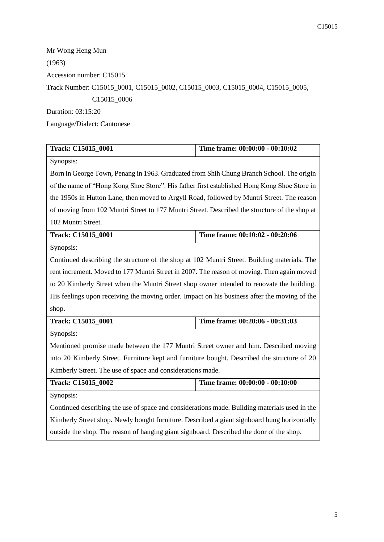Mr Wong Heng Mun (1963) Accession number: C15015 Track Number: C15015\_0001, C15015\_0002, C15015\_0003, C15015\_0004, C15015\_0005, C15015\_0006 Duration: 03:15:20

Language/Dialect: Cantonese

| Track: C15015_0001                                                                            | Time frame: 00:00:00 - 00:10:02 |  |
|-----------------------------------------------------------------------------------------------|---------------------------------|--|
| Synopsis:                                                                                     |                                 |  |
| Born in George Town, Penang in 1963. Graduated from Shih Chung Branch School. The origin      |                                 |  |
| of the name of "Hong Kong Shoe Store". His father first established Hong Kong Shoe Store in   |                                 |  |
| the 1950s in Hutton Lane, then moved to Argyll Road, followed by Muntri Street. The reason    |                                 |  |
| of moving from 102 Muntri Street to 177 Muntri Street. Described the structure of the shop at |                                 |  |
| 102 Muntri Street.                                                                            |                                 |  |
| Track: C15015_0001                                                                            | Time frame: 00:10:02 - 00:20:06 |  |
| Synopsis:                                                                                     |                                 |  |
| Continued describing the structure of the shop at 102 Muntri Street. Building materials. The  |                                 |  |
| rent increment. Moved to 177 Muntri Street in 2007. The reason of moving. Then again moved    |                                 |  |
| to 20 Kimberly Street when the Muntri Street shop owner intended to renovate the building.    |                                 |  |
| His feelings upon receiving the moving order. Impact on his business after the moving of the  |                                 |  |
| shop.                                                                                         |                                 |  |
| Track: C15015_0001                                                                            | Time frame: 00:20:06 - 00:31:03 |  |
| Synopsis:                                                                                     |                                 |  |
| Mentioned promise made between the 177 Muntri Street owner and him. Described moving          |                                 |  |
| into 20 Kimberly Street. Furniture kept and furniture bought. Described the structure of 20   |                                 |  |
| Kimberly Street. The use of space and considerations made.                                    |                                 |  |
| Time frame: 00:00:00 - 00:10:00<br>Track: C15015_0002                                         |                                 |  |
| Synopsis:                                                                                     |                                 |  |
| Continued describing the use of space and considerations made. Building materials used in the |                                 |  |
| Kimberly Street shop. Newly bought furniture. Described a giant signboard hung horizontally   |                                 |  |

outside the shop. The reason of hanging giant signboard. Described the door of the shop.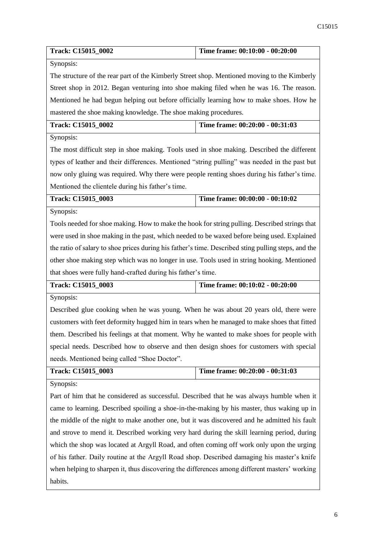| Track: C15015_0002                                                                                  | Time frame: 00:10:00 - 00:20:00                                                            |  |  |
|-----------------------------------------------------------------------------------------------------|--------------------------------------------------------------------------------------------|--|--|
| Synopsis:                                                                                           |                                                                                            |  |  |
| The structure of the rear part of the Kimberly Street shop. Mentioned moving to the Kimberly        |                                                                                            |  |  |
| Street shop in 2012. Began venturing into shoe making filed when he was 16. The reason.             |                                                                                            |  |  |
| Mentioned he had begun helping out before officially learning how to make shoes. How he             |                                                                                            |  |  |
| mastered the shoe making knowledge. The shoe making procedures.                                     |                                                                                            |  |  |
| Track: C15015_0002                                                                                  | Time frame: 00:20:00 - 00:31:03                                                            |  |  |
| Synopsis:                                                                                           |                                                                                            |  |  |
|                                                                                                     | The most difficult step in shoe making. Tools used in shoe making. Described the different |  |  |
| types of leather and their differences. Mentioned "string pulling" was needed in the past but       |                                                                                            |  |  |
| now only gluing was required. Why there were people renting shoes during his father's time.         |                                                                                            |  |  |
| Mentioned the clientele during his father's time.                                                   |                                                                                            |  |  |
| Track: C15015_0003                                                                                  | Time frame: 00:00:00 - 00:10:02                                                            |  |  |
| Synopsis:                                                                                           |                                                                                            |  |  |
| Tools needed for shoe making. How to make the hook for string pulling. Described strings that       |                                                                                            |  |  |
| were used in shoe making in the past, which needed to be waxed before being used. Explained         |                                                                                            |  |  |
| the ratio of salary to shoe prices during his father's time. Described sting pulling steps, and the |                                                                                            |  |  |
| other shoe making step which was no longer in use. Tools used in string hooking. Mentioned          |                                                                                            |  |  |
| that shoes were fully hand-crafted during his father's time.                                        |                                                                                            |  |  |
| Track: C15015_0003                                                                                  | Time frame: 00:10:02 - 00:20:00                                                            |  |  |
| Synopsis:                                                                                           |                                                                                            |  |  |
| Described glue cooking when he was young. When he was about 20 years old, there were                |                                                                                            |  |  |
| customers with feet deformity hugged him in tears when he managed to make shoes that fitted         |                                                                                            |  |  |
| them. Described his feelings at that moment. Why he wanted to make shoes for people with            |                                                                                            |  |  |
| special needs. Described how to observe and then design shoes for customers with special            |                                                                                            |  |  |
| needs. Mentioned being called "Shoe Doctor".                                                        |                                                                                            |  |  |
| Track: C15015_0003                                                                                  | Time frame: 00:20:00 - 00:31:03                                                            |  |  |
| Synopsis:                                                                                           |                                                                                            |  |  |
| Part of him that he considered as successful. Described that he was always humble when it           |                                                                                            |  |  |
| came to learning. Described spoiling a shoe-in-the-making by his master, thus waking up in          |                                                                                            |  |  |
| the middle of the night to make another one, but it was discovered and he admitted his fault        |                                                                                            |  |  |
| and strove to mend it. Described working very hard during the skill learning period, during         |                                                                                            |  |  |
| which the shop was located at Argyll Road, and often coming off work only upon the urging           |                                                                                            |  |  |
| of his father. Daily routine at the Argyll Road shop. Described damaging his master's knife         |                                                                                            |  |  |
| when helping to sharpen it, thus discovering the differences among different masters' working       |                                                                                            |  |  |
| habits.                                                                                             |                                                                                            |  |  |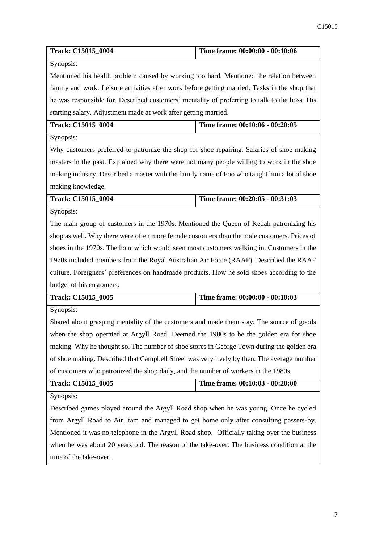| <b>Track: C15015 0004</b> | Time frame: 00:00:00 - 00:10:06 |
|---------------------------|---------------------------------|

Synopsis:

Mentioned his health problem caused by working too hard. Mentioned the relation between family and work. Leisure activities after work before getting married. Tasks in the shop that he was responsible for. Described customers' mentality of preferring to talk to the boss. His starting salary. Adjustment made at work after getting married.

| <b>Track: C15015 0004</b> | Time frame: $00:10:06 - 00:20:05$ |
|---------------------------|-----------------------------------|
| $-$                       |                                   |

Synopsis:

Why customers preferred to patronize the shop for shoe repairing. Salaries of shoe making masters in the past. Explained why there were not many people willing to work in the shoe making industry. Described a master with the family name of Foo who taught him a lot of shoe making knowledge.

| Track: C15015 0004 | Time frame: $00:20:05 - 00:31:03$ |
|--------------------|-----------------------------------|
| __                 |                                   |

Synopsis:

The main group of customers in the 1970s. Mentioned the Queen of Kedah patronizing his shop as well. Why there were often more female customers than the male customers. Prices of shoes in the 1970s. The hour which would seen most customers walking in. Customers in the 1970s included members from the Royal Australian Air Force (RAAF). Described the RAAF culture. Foreigners' preferences on handmade products. How he sold shoes according to the budget of his customers.

| Track: C15015 0005 | Time frame: $00:00:00 - 00:10:03$ |
|--------------------|-----------------------------------|
|--------------------|-----------------------------------|

Synopsis:

Shared about grasping mentality of the customers and made them stay. The source of goods when the shop operated at Argyll Road. Deemed the 1980s to be the golden era for shoe making. Why he thought so. The number of shoe stores in George Town during the golden era of shoe making. Described that Campbell Street was very lively by then. The average number of customers who patronized the shop daily, and the number of workers in the 1980s.

| <b>Track: C15015 0005</b> | Time frame: 00:10:03 - 00:20:00 |
|---------------------------|---------------------------------|
| $\sim$ $\sim$             |                                 |

Synopsis:

Described games played around the Argyll Road shop when he was young. Once he cycled from Argyll Road to Air Itam and managed to get home only after consulting passers-by. Mentioned it was no telephone in the Argyll Road shop. Officially taking over the business when he was about 20 years old. The reason of the take-over. The business condition at the time of the take-over.